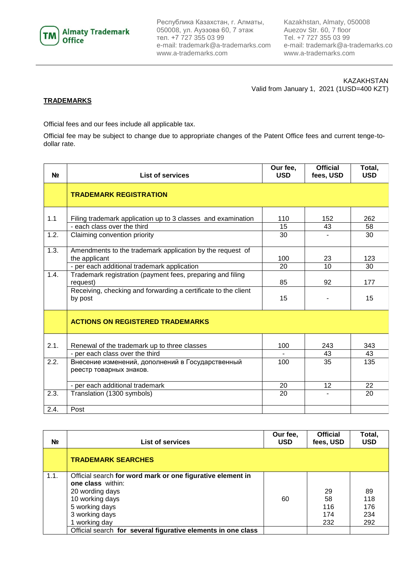

Республика Казахстан, г. Алматы, 050008, ул. Ауэзова 60, 7 этаж тел. +7 727 355 03 99 e-mail: [trademark@a-trademarks.com](mailto:trademark@a-trademarks.com) www.a-trademarks.com

Kazakhstan, Almaty, 050008 Auezov Str. 60, 7 floor Tel. +7 727 355 03 99 e-mail: [trademark@a-trademarks.com](mailto:trademark@a-trademarks.com) www.a-trademarks.com

KAZAKHSTAN Valid from January 1, 2021 (1USD=400 KZT)

## **TRADEMARKS**

Official fees and our fees include all applicable tax.

Official fee may be subject to change due to appropriate changes of the Patent Office fees and current tenge-todollar rate.

| N <sub>2</sub> | <b>List of services</b>                                                                                                   | Our fee,<br><b>USD</b> | <b>Official</b><br>fees, USD | Total,<br><b>USD</b> |
|----------------|---------------------------------------------------------------------------------------------------------------------------|------------------------|------------------------------|----------------------|
|                | <b>TRADEMARK REGISTRATION</b>                                                                                             |                        |                              |                      |
| 1.1            | Filing trademark application up to 3 classes and examination<br>- each class over the third                               | 110<br>15              | 152<br>43                    | 262<br>58            |
| 1.2.           | Claiming convention priority                                                                                              | 30                     |                              | 30                   |
| 1.3.           | Amendments to the trademark application by the request of<br>the applicant<br>- per each additional trademark application | 100<br>20              | 23<br>10                     | 123<br>30            |
| 1.4.           | Trademark registration (payment fees, preparing and filing<br>request)                                                    | 85                     | 92                           | 177                  |
|                | Receiving, checking and forwarding a certificate to the client<br>by post                                                 | 15                     |                              | 15                   |
|                | <b>ACTIONS ON REGISTERED TRADEMARKS</b>                                                                                   |                        |                              |                      |
| 2.1.           | Renewal of the trademark up to three classes                                                                              | 100                    | 243                          | 343                  |
| 2.2.           | - per each class over the third<br>Внесение изменений, дополнений в Государственный                                       | 100                    | 43<br>35                     | 43<br>135            |
|                | реестр товарных знаков.                                                                                                   |                        |                              |                      |
|                | - per each additional trademark                                                                                           | 20                     | 12                           | 22                   |
| 2.3.           | Translation (1300 symbols)                                                                                                | 20                     |                              | 20                   |
| 2.4.           | Post                                                                                                                      |                        |                              |                      |

| N <sub>2</sub> | <b>List of services</b>                                      | Our fee,<br><b>USD</b> | <b>Official</b><br>fees, USD | Total,<br><b>USD</b> |
|----------------|--------------------------------------------------------------|------------------------|------------------------------|----------------------|
|                | <b>TRADEMARK SEARCHES</b>                                    |                        |                              |                      |
| 1.1.           | Official search for word mark or one figurative element in   |                        |                              |                      |
|                | <b>one class</b> within:                                     |                        |                              |                      |
|                | 20 wording days                                              |                        | 29                           | 89                   |
|                | 10 working days                                              | 60                     | 58                           | 118                  |
|                | 5 working days                                               |                        | 116                          | 176                  |
|                | 3 working days                                               |                        | 174                          | 234                  |
|                | 1 working day                                                |                        | 232                          | 292                  |
|                | Official search for several figurative elements in one class |                        |                              |                      |